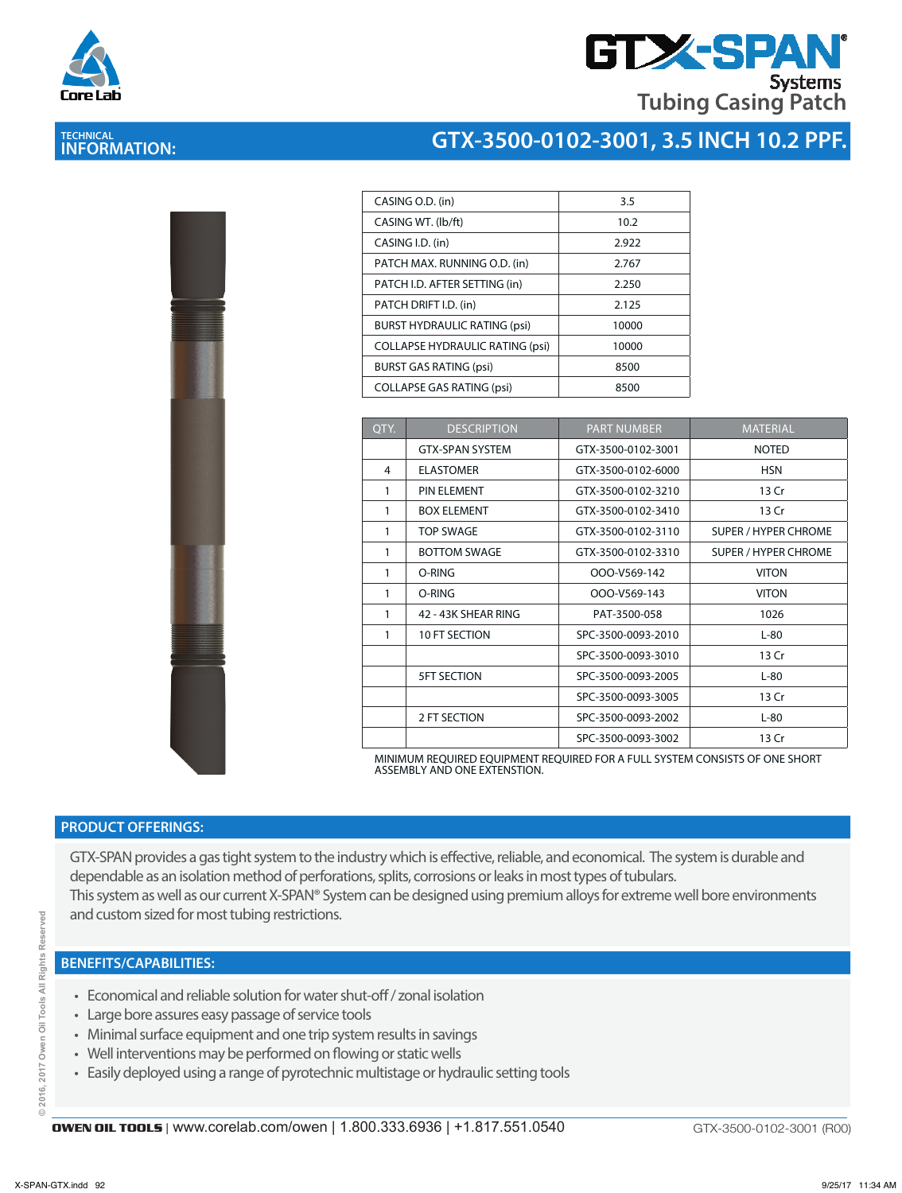

# **GTX-SPA Tubing Casing Patch**

# **TECHNICAL INFORMATION:**

## **GTX-3500-0102-3001, 3.5 INCH 10.2 PPF.**

| CASING O.D. (in)                       | 3.5   |
|----------------------------------------|-------|
| CASING WT. (lb/ft)                     | 10.2  |
| CASING I.D. (in)                       | 2.922 |
| PATCH MAX. RUNNING O.D. (in)           | 2.767 |
| PATCH I.D. AFTER SETTING (in)          | 2.250 |
| PATCH DRIFT I.D. (in)                  | 2.125 |
| <b>BURST HYDRAULIC RATING (psi)</b>    | 10000 |
| <b>COLLAPSE HYDRAULIC RATING (psi)</b> | 10000 |
| <b>BURST GAS RATING (psi)</b>          | 8500  |
| <b>COLLAPSE GAS RATING (psi)</b>       | 8500  |
|                                        |       |

| QTY. | <b>DESCRIPTION</b>     | <b>PART NUMBER</b> | <b>MATERIAL</b>             |
|------|------------------------|--------------------|-----------------------------|
|      | <b>GTX-SPAN SYSTEM</b> | GTX-3500-0102-3001 | <b>NOTED</b>                |
| 4    | <b>FI ASTOMFR</b>      | GTX-3500-0102-6000 | <b>HSN</b>                  |
| 1    | PIN ELEMENT            | GTX-3500-0102-3210 | 13 Cr                       |
| 1    | <b>BOX ELEMENT</b>     | GTX-3500-0102-3410 | 13 Cr                       |
| 1    | <b>TOP SWAGE</b>       | GTX-3500-0102-3110 | <b>SUPER / HYPER CHROME</b> |
| 1    | <b>BOTTOM SWAGE</b>    | GTX-3500-0102-3310 | <b>SUPER / HYPER CHROME</b> |
| 1    | O-RING                 | OOO-V569-142       | <b>VITON</b>                |
| 1    | O-RING                 | OOO-V569-143       | <b>VITON</b>                |
| 1    | 42 - 43K SHEAR RING    | PAT-3500-058       | 1026                        |
| 1    | <b>10 FT SECTION</b>   | SPC-3500-0093-2010 | $L-80$                      |
|      |                        | SPC-3500-0093-3010 | 13 Cr                       |
|      | <b>5FT SECTION</b>     | SPC-3500-0093-2005 | $L-80$                      |
|      |                        | SPC-3500-0093-3005 | 13 Cr                       |
|      | 2 FT SECTION           | SPC-3500-0093-2002 | $L-80$                      |
|      |                        | SPC-3500-0093-3002 | 13 Cr                       |

MINIMUM REQUIRED EQUIPMENT REQUIRED FOR A FULL SYSTEM CONSISTS OF ONE SHORT ASSEMBLY AND ONE EXTENSTION.

### **PRODUCT OFFERINGS:**

GTX-SPAN provides a gas tight system to the industry which is effective, reliable, and economical. The system is durable and dependable as an isolation method of perforations, splits, corrosions or leaks in most types of tubulars. This system as well as our current X-SPAN® System can be designed using premium alloys for extreme well bore environments and custom sized for most tubing restrictions.

#### **BENEFITS/CAPABILITIES:**

- Economical and reliable solution for water shut-off / zonal isolation
- Large bore assures easy passage of service tools
- Minimal surface equipment and one trip system results in savings
- Well interventions may be performed on flowing or static wells
- Easily deployed using a range of pyrotechnic multistage or hydraulic setting tools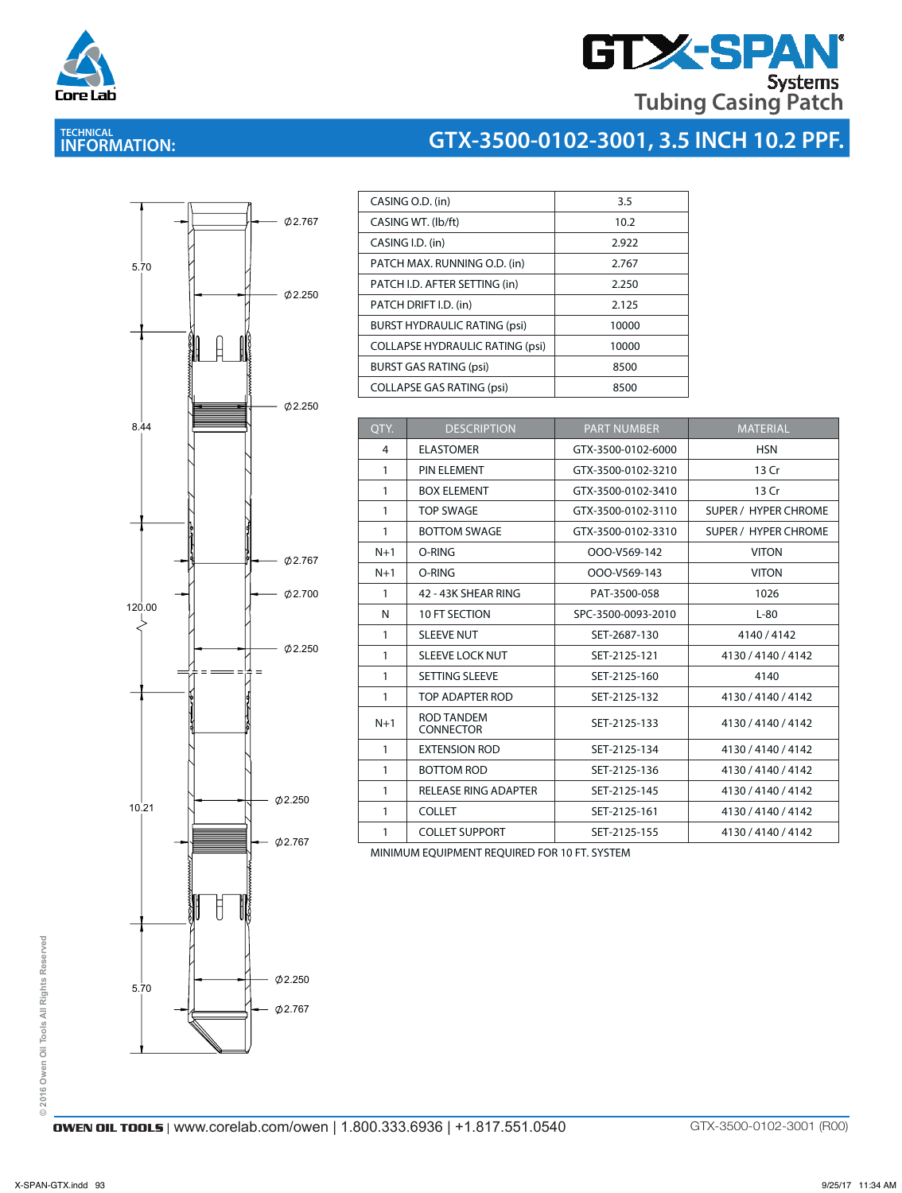

# **GTX-SPAN Tubing Casing Patch**

**GTX-3500-0102-3001, 3.5 INCH 10.2 PPF.**

# **TECHNICAL INFORMATION:**

5.70

 $\varphi$ 2.767

 $\phi$ 2.250

Ë II

 $\phi$ 2.250

 $Ø2.767$ 

 $02.700$ 

 $0,2.250$ 

 $Ø2.767$ 

Ħ

 $0,2.250$ 

 $Ø2.767$ 

 $\varphi$ 2.250

8.44

120.00

10.21

5.70

#### CASING O.D. (in) 3.5 PATCH I.D. AFTER SETTING (in) 2.250  $\overline{O(1)}$ PATCH DRIFT I.D. (in) 2.125 BURST HYDRAULIC RATING (psi) 10000 PATCH DRIFT I.D. (in) 2.125.2.125.2.125.2.125.2.125.2.125.2.125.2.125.2.125.2.125.2.125.2.125.2.125.2.125.2.12 COLLAPSE HYDRAULIC RATING (psi) 10000 COLLAPSE HYDRAULIC RATING (psi) 10000 BURST GAS RATING (psi) 8500 Burst Gas Rating (psi) 8500 (psi) 8500 (psi) 8500 (psi) 8500 (psi) 8500 (psi) 8500 (psi) 8500 (psi) 8500 (psi) CASING O.D. (in) 3.5 CASING WT. (Ib/ft) 10.2 CASING I.D. (in) 2.922 PATCH MAX. RUNNING O.D. (in) 2.767

COLLAPSE GAS RATING (psi) 8500 COLLAPSE GAS RATING (psi) 8500

| OTY.         | <b>DESCRIPTION</b>             | <b>PART NUMBER</b> | <b>MATERIAL</b>      |
|--------------|--------------------------------|--------------------|----------------------|
| 4            | <b>ELASTOMER</b>               | GTX-3500-0102-6000 | <b>HSN</b>           |
| 1            | <b>PIN ELEMENT</b>             | GTX-3500-0102-3210 | 13 Cr                |
| 1            | <b>BOX ELEMENT</b>             | GTX-3500-0102-3410 | 13 Cr                |
| 1            | <b>TOP SWAGE</b>               | GTX-3500-0102-3110 | SUPER / HYPER CHROME |
| 1            | <b>BOTTOM SWAGE</b>            | GTX-3500-0102-3310 | SUPER / HYPER CHROME |
| $N+1$        | O-RING                         | OOO-V569-142       | <b>VITON</b>         |
| $N+1$        | O-RING                         | OOO-V569-143       | <b>VITON</b>         |
| 1            | 42 - 43K SHEAR RING            | PAT-3500-058       | 1026                 |
| N            | 10 FT SECTION                  | SPC-3500-0093-2010 | $L-80$               |
| 1            | <b>SLEEVE NUT</b>              | SET-2687-130       | 4140/4142            |
| 1            | <b>SLEEVE LOCK NUT</b>         | SET-2125-121       | 4130 / 4140 / 4142   |
| $\mathbf{1}$ | <b>SETTING SLEEVE</b>          | SET-2125-160       | 4140                 |
| 1            | TOP ADAPTER ROD                | SET-2125-132       | 4130 / 4140 / 4142   |
| $N+1$        | ROD TANDEM<br><b>CONNECTOR</b> | SET-2125-133       | 4130 / 4140 / 4142   |
| 1            | <b>FXTENSION ROD</b>           | SFT-2125-134       | 4130/4140/4142       |
| 1            | <b>BOTTOM ROD</b>              | SET-2125-136       | 4130 / 4140 / 4142   |
| 1            | <b>RELEASE RING ADAPTER</b>    | SET-2125-145       | 4130 / 4140 / 4142   |
| 1            | <b>COLLET</b>                  | SET-2125-161       | 4130 / 4140 / 4142   |
| 1            | <b>COLLET SUPPORT</b>          | SET-2125-155       | 4130 / 4140 / 4142   |

MINIMUM EQUIPMENT REQUIRED FOR 10 FT. SYSTEM